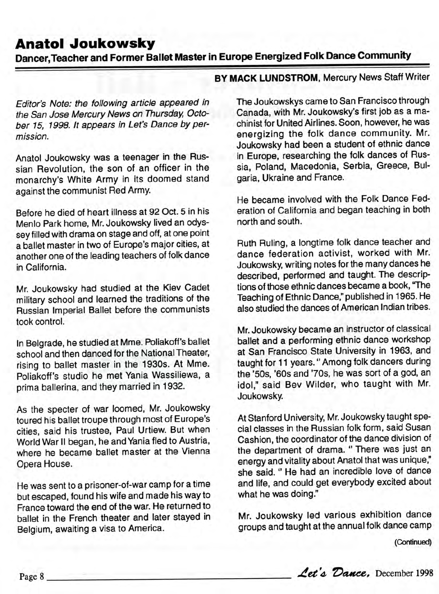## **Anatol Joukowsky**

**Dancer,Teacher and Former Ballet Master in Europe Energized Folk Dance Community**

Editor's Note: the following article appeared in the San Jose Mercury News on Thursday, October 75, 1998. It appears in Let's Dance by permission.

Anatol Joukowsky was a teenager in the Russian Revolution, the son of an officer in the monarchy's White Army in its doomed stand against the communist Red Army.

Before he died of heart illness at 92 Oct. 5 in his Menlo Park home, Mr. Joukowsky lived an odyssey filled with drama on stage and off, at one point a ballet master in two of Europe's major cities, at another one of the leading teachers of folk dance in California.

Mr. Joukowsky had studied at the Kiev Cadet military school and learned the traditions of the Russian Imperial Ballet before the communists took control.

In Belgrade, he studied at Mme. Poliakoff's ballet school and then danced for the National Theater, rising to ballet master in the 1930s. At Mme. Poliakoff's studio he met Yania Wassiliewa, a prima ballerina, and they married in 1932.

As the specter of war loomed, Mr. Joukowsky toured his ballet troupe through most of Europe's cities, said his trustee, Paul Urtiew. But when World War II began, he and Yania fled to Austria, where he became ballet master at the Vienna Opera House.

He was sent to a prisoner-of-war camp for a time but escaped, found his wife and made his way to France toward the end of the war. He returned to ballet in the French theater and later stayed in Belgium, awaiting a visa to America.

**BY MACK LUNDSTROM,** Mercury News Staff Writer

The Joukowskys came to San Francisco through Canada, with Mr. Joukowsky's first job as a machinist for United Airlines. Soon, however, he was energizing the folk dance community. Mr. Joukowsky had been a student of ethnic dance in Europe, researching the folk dances of Russia, Poland, Macedonia, Serbia, Greece, Bulgaria, Ukraine and France.

He became involved with the Folk Dance Federation of California and began teaching in both north and south.

Ruth Ruling, a longtime folk dance teacher and dance federation activist, worked with Mr. Joukowsky, writing notes for the many dances he described, performed and taught. The descriptions of those ethnic dances became a book, "The Teaching of Ethnic Dance," published in 1965. He also studied the dances of American Indian tribes.

Mr. Joukowsky became an instructor of classical ballet and a performing ethnic dance workshop at San Francisco State University in 1963, and aught for 11 years." Among folk dancers during he '50s, '60s and '70s, he was sort of a god, an idol," said Bev Wilder, who taught with Mr. Joukowsky.

At Stanford University, Mr. Joukowsky taught special classes in the Russian folk form, said Susan Cashion, the coordinator of the dance division of the department of drama. " There was just an energy and vitality about Anatol that was unique," she said. " He had an incredible love of dance and life, and could get everybody excited about what he was doing."

Mr. Joukowsky led various exhibition dance groups and taught at the annual folk dance camp

(Continued)